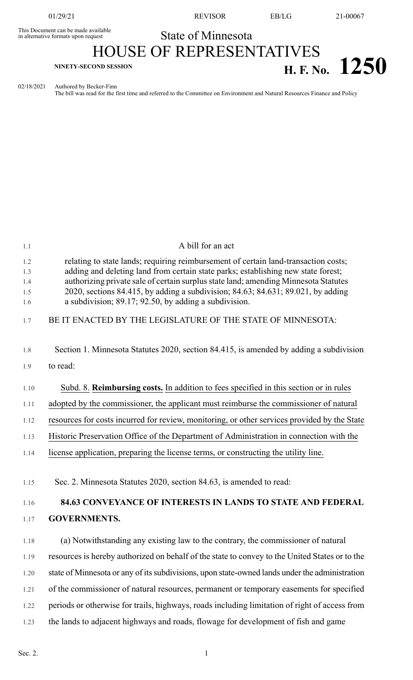This Document can be made available<br>in alternative formats upon request

01/29/21 REVISOR EB/LG 21-00067

## State of Minnesota HOUSE OF REPRESENTATIVES

## **H. F. No.**  $1250$

02/18/2021 Authored by Becker-Finn The bill was read for the first time and referred to the Committee on Environment and Natural Resources Finance and Policy

| 1.1                             | A bill for an act                                                                                                                                                                                                                                                                                                                                                                                            |
|---------------------------------|--------------------------------------------------------------------------------------------------------------------------------------------------------------------------------------------------------------------------------------------------------------------------------------------------------------------------------------------------------------------------------------------------------------|
| 1.2<br>1.3<br>1.4<br>1.5<br>1.6 | relating to state lands; requiring reimbursement of certain land-transaction costs;<br>adding and deleting land from certain state parks; establishing new state forest;<br>authorizing private sale of certain surplus state land; amending Minnesota Statutes<br>2020, sections 84.415, by adding a subdivision; 84.63; 84.631; 89.021, by adding<br>a subdivision; 89.17; 92.50, by adding a subdivision. |
| 1.7                             | BE IT ENACTED BY THE LEGISLATURE OF THE STATE OF MINNESOTA:                                                                                                                                                                                                                                                                                                                                                  |
| 1.8                             | Section 1. Minnesota Statutes 2020, section 84.415, is amended by adding a subdivision                                                                                                                                                                                                                                                                                                                       |
| 1.9                             | to read:                                                                                                                                                                                                                                                                                                                                                                                                     |
| 1.10                            | Subd. 8. Reimbursing costs. In addition to fees specified in this section or in rules                                                                                                                                                                                                                                                                                                                        |
| 1.11                            | adopted by the commissioner, the applicant must reimburse the commissioner of natural                                                                                                                                                                                                                                                                                                                        |
| 1.12                            | resources for costs incurred for review, monitoring, or other services provided by the State                                                                                                                                                                                                                                                                                                                 |
| 1.13                            | Historic Preservation Office of the Department of Administration in connection with the                                                                                                                                                                                                                                                                                                                      |
| 1.14                            | license application, preparing the license terms, or constructing the utility line.                                                                                                                                                                                                                                                                                                                          |
| 1.15                            | Sec. 2. Minnesota Statutes 2020, section 84.63, is amended to read:                                                                                                                                                                                                                                                                                                                                          |
| 1.16                            | 84.63 CONVEYANCE OF INTERESTS IN LANDS TO STATE AND FEDERAL                                                                                                                                                                                                                                                                                                                                                  |
| 1.17                            | <b>GOVERNMENTS.</b>                                                                                                                                                                                                                                                                                                                                                                                          |
| 1.18                            | (a) Notwithstanding any existing law to the contrary, the commissioner of natural                                                                                                                                                                                                                                                                                                                            |
| 1.19                            | resources is hereby authorized on behalf of the state to convey to the United States or to the                                                                                                                                                                                                                                                                                                               |
| 1.20                            | state of Minnesota or any of its subdivisions, upon state-owned lands under the administration                                                                                                                                                                                                                                                                                                               |
| 1.21                            | of the commissioner of natural resources, permanent or temporary easements for specified                                                                                                                                                                                                                                                                                                                     |
| 1.22                            | periods or otherwise for trails, highways, roads including limitation of right of access from                                                                                                                                                                                                                                                                                                                |
| 1.23                            | the lands to adjacent highways and roads, flowage for development of fish and game                                                                                                                                                                                                                                                                                                                           |
|                                 |                                                                                                                                                                                                                                                                                                                                                                                                              |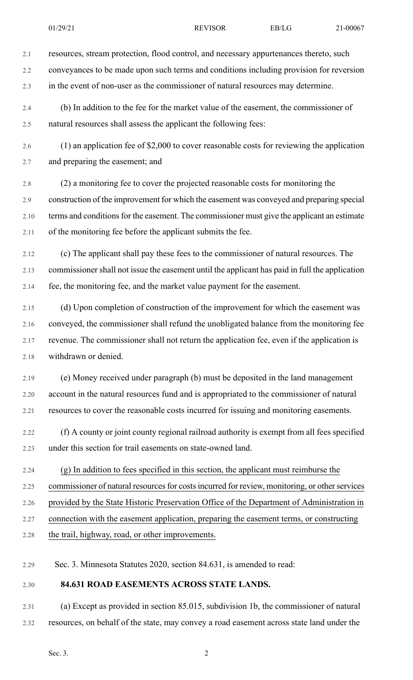2.2 conveyances to be made upon such terms and conditions including provision for reversion

2.3 in the event of non-user as the commissioner of natural resources may determine.

2.4 (b) In addition to the fee for the market value of the easement, the commissioner of 2.5 natural resources shall assess the applicant the following fees:

2.6 (1) an application fee of \$2,000 to cover reasonable costs for reviewing the application 2.7 and preparing the easement; and

2.8 (2) a monitoring fee to cover the projected reasonable costs for monitoring the 2.9 construction of the improvement for which the easement was conveyed and preparing special 2.10 terms and conditions for the easement. The commissioner must give the applicant an estimate 2.11 of the monitoring fee before the applicant submits the fee.

2.12 (c) The applicant shall pay these fees to the commissioner of natural resources. The 2.13 commissioner shall not issue the easement until the applicant has paid in full the application 2.14 fee, the monitoring fee, and the market value payment for the easement.

2.15 (d) Upon completion of construction of the improvement for which the easement was 2.16 conveyed, the commissioner shall refund the unobligated balance from the monitoring fee 2.17 revenue. The commissioner shall not return the application fee, even if the application is 2.18 withdrawn or denied.

2.19 (e) Money received under paragraph (b) must be deposited in the land management 2.20 account in the natural resources fund and is appropriated to the commissioner of natural 2.21 resources to cover the reasonable costs incurred for issuing and monitoring easements.

2.22 (f) A county or joint county regional railroad authority is exempt from all fees specified 2.23 under this section for trail easements on state-owned land.

2.24 (g) In addition to fees specified in this section, the applicant must reimburse the

2.25 commissioner of natural resources for costs incurred for review, monitoring, or other services

2.26 provided by the State Historic Preservation Office of the Department of Administration in

2.27 connection with the easement application, preparing the easement terms, or constructing

2.28 the trail, highway, road, or other improvements.

2.29 Sec. 3. Minnesota Statutes 2020, section 84.631, is amended to read:

## 2.30 **84.631 ROAD EASEMENTS ACROSS STATE LANDS.**

2.31 (a) Except as provided in section 85.015, subdivision 1b, the commissioner of natural 2.32 resources, on behalf of the state, may convey a road easement across state land under the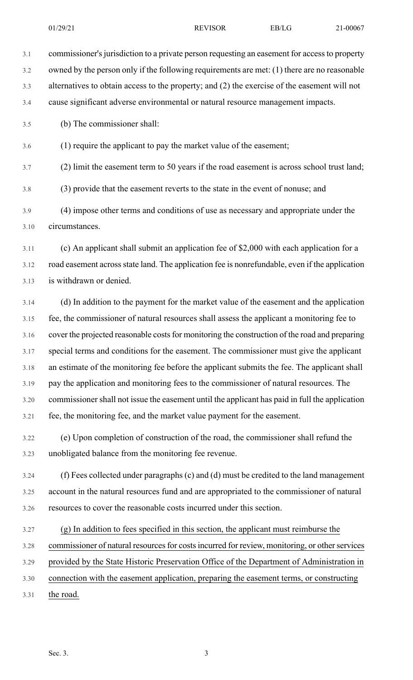3.3 alternatives to obtain access to the property; and (2) the exercise of the easement will not

3.4 cause significant adverse environmental or natural resource management impacts.

3.5 (b) The commissioner shall:

3.6 (1) require the applicant to pay the market value of the easement;

3.7 (2) limit the easement term to 50 years if the road easement is across school trust land;

3.8 (3) provide that the easement reverts to the state in the event of nonuse; and

3.9 (4) impose other terms and conditions of use as necessary and appropriate under the 3.10 circumstances.

3.11 (c) An applicant shall submit an application fee of \$2,000 with each application for a 3.12 road easement acrossstate land. The application fee is nonrefundable, even if the application 3.13 is withdrawn or denied.

3.14 (d) In addition to the payment for the market value of the easement and the application 3.15 fee, the commissioner of natural resources shall assess the applicant a monitoring fee to 3.16 cover the projected reasonable costs for monitoring the construction of the road and preparing 3.17 special terms and conditions for the easement. The commissioner must give the applicant 3.18 an estimate of the monitoring fee before the applicant submits the fee. The applicant shall 3.19 pay the application and monitoring fees to the commissioner of natural resources. The 3.20 commissionershall not issue the easement until the applicant has paid in full the application 3.21 fee, the monitoring fee, and the market value payment for the easement.

3.22 (e) Upon completion of construction of the road, the commissioner shall refund the 3.23 unobligated balance from the monitoring fee revenue.

3.24 (f) Fees collected under paragraphs (c) and (d) must be credited to the land management 3.25 account in the natural resources fund and are appropriated to the commissioner of natural 3.26 resources to cover the reasonable costs incurred under this section.

- 3.27 (g) In addition to fees specified in this section, the applicant must reimburse the
- 3.28 commissioner of natural resources for costs incurred for review, monitoring, or other services

3.29 provided by the State Historic Preservation Office of the Department of Administration in

- 3.30 connection with the easement application, preparing the easement terms, or constructing
- 3.31 the road.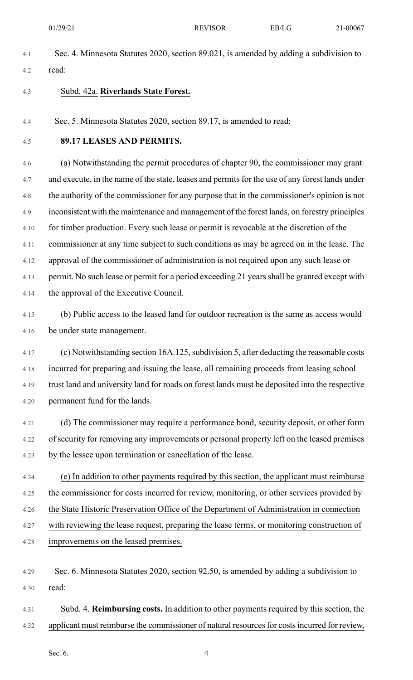- 4.1 Sec. 4. Minnesota Statutes 2020, section 89.021, is amended by adding a subdivision to 4.2 read:
- 4.3 Subd. 42a. **Riverlands State Forest.**

4.4 Sec. 5. Minnesota Statutes 2020, section 89.17, is amended to read:

4.5 **89.17 LEASES AND PERMITS.**

4.6 (a) Notwithstanding the permit procedures of chapter 90, the commissioner may grant 4.7 and execute, in the name of the state, leases and permits for the use of any forest lands under 4.8 the authority of the commissioner for any purpose that in the commissioner's opinion is not 4.9 inconsistent with the maintenance and management of the forest lands, on forestry principles 4.10 for timber production. Every such lease or permit is revocable at the discretion of the 4.11 commissioner at any time subject to such conditions as may be agreed on in the lease. The 4.12 approval of the commissioner of administration is not required upon any such lease or 4.13 permit. No such lease or permit for a period exceeding 21 years shall be granted except with 4.14 the approval of the Executive Council.

- 4.15 (b) Public access to the leased land for outdoor recreation is the same as access would 4.16 be under state management.
- 4.17 (c) Notwithstanding section 16A.125,subdivision 5, after deducting the reasonable costs 4.18 incurred for preparing and issuing the lease, all remaining proceeds from leasing school 4.19 trust land and university land for roads on forest lands must be deposited into the respective 4.20 permanent fund for the lands.
- 4.21 (d) The commissioner may require a performance bond, security deposit, or other form 4.22 of security for removing any improvements or personal property left on the leased premises 4.23 by the lessee upon termination or cancellation of the lease.
- 4.24 (e) In addition to other payments required by this section, the applicant must reimburse 4.25 the commissioner for costs incurred for review, monitoring, or other services provided by 4.26 the State Historic Preservation Office of the Department of Administration in connection 4.27 with reviewing the lease request, preparing the lease terms, or monitoring construction of 4.28 improvements on the leased premises.
- 4.29 Sec. 6. Minnesota Statutes 2020, section 92.50, is amended by adding a subdivision to 4.30 read:
- 4.31 Subd. 4. **Reimbursing costs.** In addition to other payments required by this section, the 4.32 applicant must reimburse the commissioner of natural resources for costs incurred for review,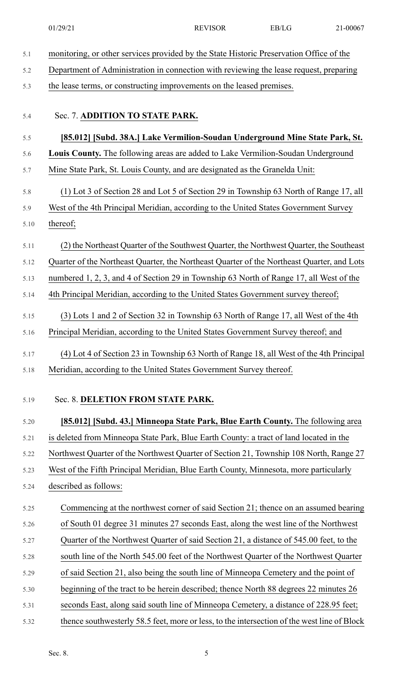| 5.1  | monitoring, or other services provided by the State Historic Preservation Office of the     |
|------|---------------------------------------------------------------------------------------------|
| 5.2  | Department of Administration in connection with reviewing the lease request, preparing      |
| 5.3  | the lease terms, or constructing improvements on the leased premises.                       |
|      |                                                                                             |
| 5.4  | Sec. 7. ADDITION TO STATE PARK.                                                             |
| 5.5  | [85.012] [Subd. 38A.] Lake Vermilion-Soudan Underground Mine State Park, St.                |
| 5.6  | Louis County. The following areas are added to Lake Vermilion-Soudan Underground            |
| 5.7  | Mine State Park, St. Louis County, and are designated as the Granelda Unit:                 |
| 5.8  | (1) Lot 3 of Section 28 and Lot 5 of Section 29 in Township 63 North of Range 17, all       |
| 5.9  | West of the 4th Principal Meridian, according to the United States Government Survey        |
| 5.10 | thereof;                                                                                    |
| 5.11 | (2) the Northeast Quarter of the Southwest Quarter, the Northwest Quarter, the Southeast    |
| 5.12 | Quarter of the Northeast Quarter, the Northeast Quarter of the Northeast Quarter, and Lots  |
| 5.13 | numbered 1, 2, 3, and 4 of Section 29 in Township 63 North of Range 17, all West of the     |
| 5.14 | 4th Principal Meridian, according to the United States Government survey thereof;           |
|      |                                                                                             |
| 5.15 | (3) Lots 1 and 2 of Section 32 in Township 63 North of Range 17, all West of the 4th        |
| 5.16 | Principal Meridian, according to the United States Government Survey thereof; and           |
| 5.17 | (4) Lot 4 of Section 23 in Township 63 North of Range 18, all West of the 4th Principal     |
| 5.18 | Meridian, according to the United States Government Survey thereof.                         |
|      |                                                                                             |
| 5.19 | Sec. 8. DELETION FROM STATE PARK.                                                           |
| 5.20 | [85.012] [Subd. 43.] Minneopa State Park, Blue Earth County. The following area             |
| 5.21 | is deleted from Minneopa State Park, Blue Earth County: a tract of land located in the      |
| 5.22 | Northwest Quarter of the Northwest Quarter of Section 21, Township 108 North, Range 27      |
| 5.23 | West of the Fifth Principal Meridian, Blue Earth County, Minnesota, more particularly       |
| 5.24 | described as follows:                                                                       |
| 5.25 | Commencing at the northwest corner of said Section 21; thence on an assumed bearing         |
| 5.26 | of South 01 degree 31 minutes 27 seconds East, along the west line of the Northwest         |
| 5.27 | Quarter of the Northwest Quarter of said Section 21, a distance of 545.00 feet, to the      |
| 5.28 | south line of the North 545.00 feet of the Northwest Quarter of the Northwest Quarter       |
| 5.29 | of said Section 21, also being the south line of Minneopa Cemetery and the point of         |
| 5.30 | beginning of the tract to be herein described; thence North 88 degrees 22 minutes 26        |
| 5.31 | seconds East, along said south line of Minneopa Cemetery, a distance of 228.95 feet;        |
| 5.32 | thence southwesterly 58.5 feet, more or less, to the intersection of the west line of Block |

Sec. 8. 5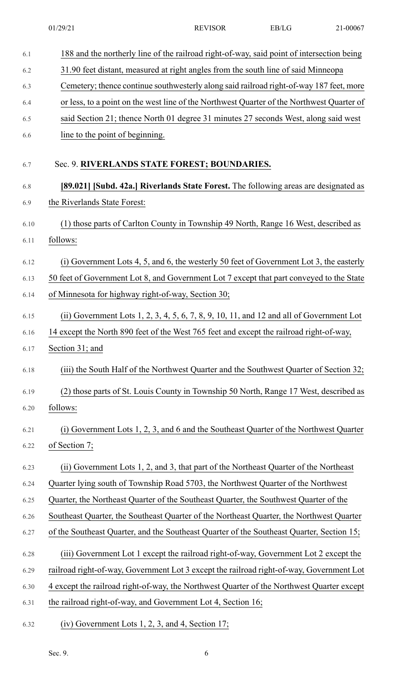| 6.1  | 188 and the northerly line of the railroad right-of-way, said point of intersection being     |
|------|-----------------------------------------------------------------------------------------------|
| 6.2  | 31.90 feet distant, measured at right angles from the south line of said Minneopa             |
| 6.3  | Cemetery; thence continue southwesterly along said railroad right-of-way 187 feet, more       |
| 6.4  | or less, to a point on the west line of the Northwest Quarter of the Northwest Quarter of     |
| 6.5  | said Section 21; thence North 01 degree 31 minutes 27 seconds West, along said west           |
| 6.6  | line to the point of beginning.                                                               |
|      |                                                                                               |
| 6.7  | Sec. 9. RIVERLANDS STATE FOREST; BOUNDARIES.                                                  |
| 6.8  | [89.021] [Subd. 42a.] Riverlands State Forest. The following areas are designated as          |
| 6.9  | the Riverlands State Forest:                                                                  |
| 6.10 | (1) those parts of Carlton County in Township 49 North, Range 16 West, described as           |
| 6.11 | follows:                                                                                      |
| 6.12 | (i) Government Lots 4, 5, and 6, the westerly 50 feet of Government Lot 3, the easterly       |
| 6.13 | 50 feet of Government Lot 8, and Government Lot 7 except that part conveyed to the State      |
| 6.14 | of Minnesota for highway right-of-way, Section 30;                                            |
|      |                                                                                               |
| 6.15 | (ii) Government Lots $1, 2, 3, 4, 5, 6, 7, 8, 9, 10, 11$ , and $12$ and all of Government Lot |
| 6.16 | 14 except the North 890 feet of the West 765 feet and except the railroad right-of-way,       |
| 6.17 | Section 31; and                                                                               |
| 6.18 | (iii) the South Half of the Northwest Quarter and the Southwest Quarter of Section 32;        |
| 6.19 | (2) those parts of St. Louis County in Township 50 North, Range 17 West, described as         |
| 6.20 | follows:                                                                                      |
| 6.21 | (i) Government Lots 1, 2, 3, and 6 and the Southeast Quarter of the Northwest Quarter         |
| 6.22 | of Section 7;                                                                                 |
| 6.23 | (ii) Government Lots 1, 2, and 3, that part of the Northeast Quarter of the Northeast         |
| 6.24 | Quarter lying south of Township Road 5703, the Northwest Quarter of the Northwest             |
| 6.25 | Quarter, the Northeast Quarter of the Southeast Quarter, the Southwest Quarter of the         |
| 6.26 | Southeast Quarter, the Southeast Quarter of the Northeast Quarter, the Northwest Quarter      |
| 6.27 | of the Southeast Quarter, and the Southeast Quarter of the Southeast Quarter, Section 15;     |
| 6.28 | (iii) Government Lot 1 except the railroad right-of-way, Government Lot 2 except the          |
| 6.29 | railroad right-of-way, Government Lot 3 except the railroad right-of-way, Government Lot      |
| 6.30 | 4 except the railroad right-of-way, the Northwest Quarter of the Northwest Quarter except     |
| 6.31 | the railroad right-of-way, and Government Lot 4, Section 16;                                  |
|      |                                                                                               |
| 6.32 | $(iv)$ Government Lots 1, 2, 3, and 4, Section 17;                                            |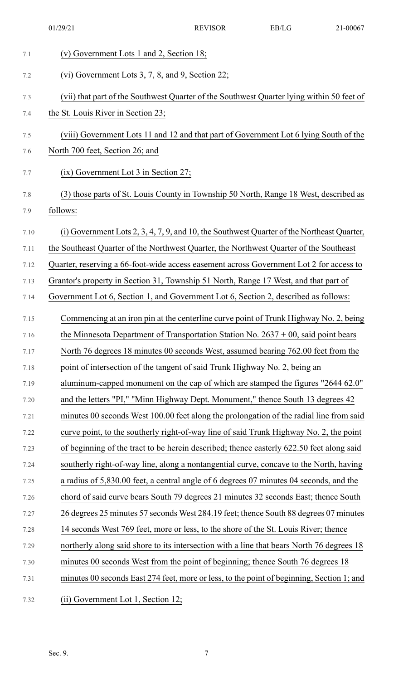| 7.1  | (v) Government Lots 1 and 2, Section 18;                                                   |
|------|--------------------------------------------------------------------------------------------|
| 7.2  | (vi) Government Lots 3, 7, 8, and 9, Section 22;                                           |
| 7.3  | (vii) that part of the Southwest Quarter of the Southwest Quarter lying within 50 feet of  |
| 7.4  | the St. Louis River in Section 23;                                                         |
| 7.5  | (viii) Government Lots 11 and 12 and that part of Government Lot 6 lying South of the      |
| 7.6  | North 700 feet, Section 26; and                                                            |
| 7.7  | $(ix)$ Government Lot 3 in Section 27;                                                     |
| 7.8  | (3) those parts of St. Louis County in Township 50 North, Range 18 West, described as      |
| 7.9  | follows:                                                                                   |
| 7.10 | (i) Government Lots 2, 3, 4, 7, 9, and 10, the Southwest Quarter of the Northeast Quarter, |
| 7.11 | the Southeast Quarter of the Northwest Quarter, the Northwest Quarter of the Southeast     |
| 7.12 | Quarter, reserving a 66-foot-wide access easement across Government Lot 2 for access to    |
| 7.13 | Grantor's property in Section 31, Township 51 North, Range 17 West, and that part of       |
| 7.14 | Government Lot 6, Section 1, and Government Lot 6, Section 2, described as follows:        |
| 7.15 | Commencing at an iron pin at the centerline curve point of Trunk Highway No. 2, being      |
| 7.16 | the Minnesota Department of Transportation Station No. $2637 + 00$ , said point bears      |
| 7.17 | North 76 degrees 18 minutes 00 seconds West, assumed bearing 762.00 feet from the          |
| 7.18 | point of intersection of the tangent of said Trunk Highway No. 2, being an                 |
| 7.19 | aluminum-capped monument on the cap of which are stamped the figures "2644 62.0"           |
| 7.20 | and the letters "PI," "Minn Highway Dept. Monument," thence South 13 degrees 42            |
| 7.21 | minutes 00 seconds West 100.00 feet along the prolongation of the radial line from said    |
| 7.22 | curve point, to the southerly right-of-way line of said Trunk Highway No. 2, the point     |
| 7.23 | of beginning of the tract to be herein described; thence easterly 622.50 feet along said   |
| 7.24 | southerly right-of-way line, along a nontangential curve, concave to the North, having     |
| 7.25 | a radius of 5,830.00 feet, a central angle of 6 degrees 07 minutes 04 seconds, and the     |
| 7.26 | chord of said curve bears South 79 degrees 21 minutes 32 seconds East; thence South        |
| 7.27 | 26 degrees 25 minutes 57 seconds West 284.19 feet; thence South 88 degrees 07 minutes      |
| 7.28 | 14 seconds West 769 feet, more or less, to the shore of the St. Louis River; thence        |
| 7.29 | northerly along said shore to its intersection with a line that bears North 76 degrees 18  |
| 7.30 | minutes 00 seconds West from the point of beginning; thence South 76 degrees 18            |
| 7.31 | minutes 00 seconds East 274 feet, more or less, to the point of beginning, Section 1; and  |
| 7.32 | (ii) Government Lot 1, Section 12;                                                         |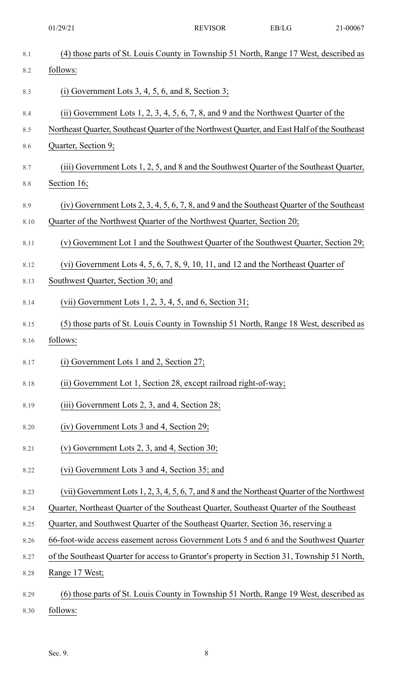|      | 01/29/21                                                                                      | <b>REVISOR</b> | EB/LG | 21-00067 |
|------|-----------------------------------------------------------------------------------------------|----------------|-------|----------|
| 8.1  | (4) those parts of St. Louis County in Township 51 North, Range 17 West, described as         |                |       |          |
| 8.2  | follows:                                                                                      |                |       |          |
| 8.3  | (i) Government Lots $3, 4, 5, 6$ , and $8$ , Section 3;                                       |                |       |          |
| 8.4  | (ii) Government Lots $1, 2, 3, 4, 5, 6, 7, 8$ , and $9$ and the Northwest Quarter of the      |                |       |          |
| 8.5  | Northeast Quarter, Southeast Quarter of the Northwest Quarter, and East Half of the Southeast |                |       |          |
| 8.6  | Quarter, Section 9;                                                                           |                |       |          |
| 8.7  | (iii) Government Lots 1, 2, 5, and 8 and the Southwest Quarter of the Southeast Quarter,      |                |       |          |
| 8.8  | Section 16;                                                                                   |                |       |          |
| 8.9  | $(iv)$ Government Lots 2, 3, 4, 5, 6, 7, 8, and 9 and the Southeast Quarter of the Southeast  |                |       |          |
| 8.10 | Quarter of the Northwest Quarter of the Northwest Quarter, Section 20;                        |                |       |          |
| 8.11 | (v) Government Lot 1 and the Southwest Quarter of the Southwest Quarter, Section 29;          |                |       |          |
| 8.12 | (vi) Government Lots $4, 5, 6, 7, 8, 9, 10, 11$ , and 12 and the Northeast Quarter of         |                |       |          |
| 8.13 | Southwest Quarter, Section 30; and                                                            |                |       |          |
| 8.14 | (vii) Government Lots $1, 2, 3, 4, 5$ , and 6, Section $31$ ;                                 |                |       |          |
| 8.15 | (5) those parts of St. Louis County in Township 51 North, Range 18 West, described as         |                |       |          |
| 8.16 | follows:                                                                                      |                |       |          |
| 8.17 | $(i)$ Government Lots 1 and 2, Section 27;                                                    |                |       |          |
| 8.18 | (ii) Government Lot 1, Section 28, except railroad right-of-way;                              |                |       |          |
| 8.19 | $(iii)$ Government Lots 2, 3, and 4, Section 28;                                              |                |       |          |
| 8.20 | (iv) Government Lots 3 and 4, Section 29;                                                     |                |       |          |
| 8.21 | (v) Government Lots 2, 3, and 4, Section $30$ ;                                               |                |       |          |
| 8.22 | (vi) Government Lots 3 and 4, Section 35; and                                                 |                |       |          |
| 8.23 | (vii) Government Lots 1, 2, 3, 4, 5, 6, 7, and 8 and the Northeast Quarter of the Northwest   |                |       |          |
| 8.24 | Quarter, Northeast Quarter of the Southeast Quarter, Southeast Quarter of the Southeast       |                |       |          |
| 8.25 | Quarter, and Southwest Quarter of the Southeast Quarter, Section 36, reserving a              |                |       |          |
| 8.26 | 66-foot-wide access easement across Government Lots 5 and 6 and the Southwest Quarter         |                |       |          |
| 8.27 | of the Southeast Quarter for access to Grantor's property in Section 31, Township 51 North,   |                |       |          |
| 8.28 | Range 17 West;                                                                                |                |       |          |
| 8.29 | (6) those parts of St. Louis County in Township 51 North, Range 19 West, described as         |                |       |          |
| 8.30 | follows:                                                                                      |                |       |          |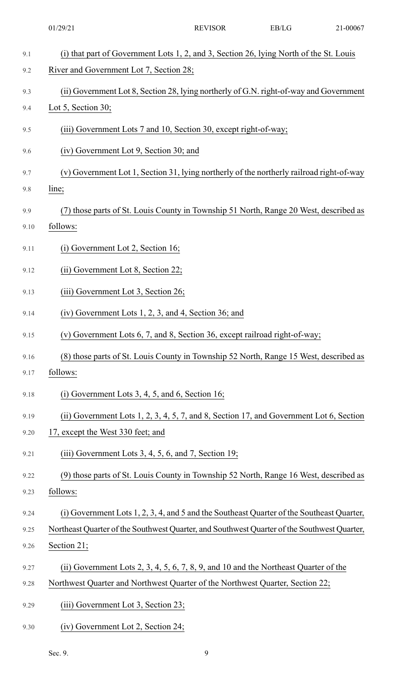|      | 01/29/21                                                                                    | <b>REVISOR</b> | EB/LG | 21-00067 |
|------|---------------------------------------------------------------------------------------------|----------------|-------|----------|
| 9.1  | (i) that part of Government Lots 1, 2, and 3, Section 26, lying North of the St. Louis      |                |       |          |
| 9.2  | River and Government Lot 7, Section 28;                                                     |                |       |          |
| 9.3  | (ii) Government Lot 8, Section 28, lying northerly of G.N. right-of-way and Government      |                |       |          |
| 9.4  | Lot 5, Section 30;                                                                          |                |       |          |
| 9.5  | (iii) Government Lots 7 and 10, Section 30, except right-of-way;                            |                |       |          |
| 9.6  | (iv) Government Lot 9, Section 30; and                                                      |                |       |          |
| 9.7  | (v) Government Lot 1, Section 31, lying northerly of the northerly railroad right-of-way    |                |       |          |
| 9.8  | line;                                                                                       |                |       |          |
| 9.9  | (7) those parts of St. Louis County in Township 51 North, Range 20 West, described as       |                |       |          |
| 9.10 | follows:                                                                                    |                |       |          |
| 9.11 | (i) Government Lot 2, Section 16;                                                           |                |       |          |
| 9.12 | (ii) Government Lot 8, Section 22;                                                          |                |       |          |
| 9.13 | (iii) Government Lot 3, Section 26;                                                         |                |       |          |
| 9.14 | $(iv)$ Government Lots 1, 2, 3, and 4, Section 36; and                                      |                |       |          |
| 9.15 | (v) Government Lots 6, 7, and 8, Section 36, except railroad right-of-way;                  |                |       |          |
| 9.16 | (8) those parts of St. Louis County in Township 52 North, Range 15 West, described as       |                |       |          |
| 9.17 | follows:                                                                                    |                |       |          |
| 9.18 | (i) Government Lots $3, 4, 5$ , and $6$ , Section 16;                                       |                |       |          |
| 9.19 | (ii) Government Lots 1, 2, 3, 4, 5, 7, and 8, Section 17, and Government Lot 6, Section     |                |       |          |
| 9.20 | 17, except the West 330 feet; and                                                           |                |       |          |
| 9.21 | $(iii)$ Government Lots 3, 4, 5, 6, and 7, Section 19;                                      |                |       |          |
| 9.22 | (9) those parts of St. Louis County in Township 52 North, Range 16 West, described as       |                |       |          |
| 9.23 | follows:                                                                                    |                |       |          |
| 9.24 | (i) Government Lots 1, 2, 3, 4, and 5 and the Southeast Quarter of the Southeast Quarter,   |                |       |          |
| 9.25 | Northeast Quarter of the Southwest Quarter, and Southwest Quarter of the Southwest Quarter, |                |       |          |
| 9.26 | Section 21;                                                                                 |                |       |          |
| 9.27 | (ii) Government Lots 2, 3, 4, 5, 6, 7, 8, 9, and 10 and the Northeast Quarter of the        |                |       |          |
| 9.28 | Northwest Quarter and Northwest Quarter of the Northwest Quarter, Section 22;               |                |       |          |
| 9.29 | (iii) Government Lot 3, Section 23;                                                         |                |       |          |
| 9.30 | (iv) Government Lot 2, Section 24;                                                          |                |       |          |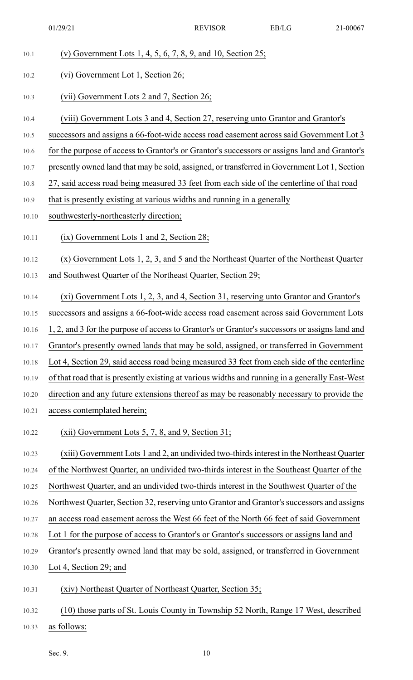| 10.1  | (v) Government Lots 1, 4, 5, 6, 7, 8, 9, and 10, Section $25$ ;                                |
|-------|------------------------------------------------------------------------------------------------|
| 10.2  | (vi) Government Lot 1, Section 26;                                                             |
| 10.3  | (vii) Government Lots 2 and 7, Section 26;                                                     |
| 10.4  | (viii) Government Lots 3 and 4, Section 27, reserving unto Grantor and Grantor's               |
| 10.5  | successors and assigns a 66-foot-wide access road easement across said Government Lot 3        |
| 10.6  | for the purpose of access to Grantor's or Grantor's successors or assigns land and Grantor's   |
| 10.7  | presently owned land that may be sold, assigned, or transferred in Government Lot 1, Section   |
| 10.8  | 27, said access road being measured 33 feet from each side of the centerline of that road      |
| 10.9  | that is presently existing at various widths and running in a generally                        |
| 10.10 | southwesterly-northeasterly direction;                                                         |
| 10.11 | $(ix)$ Government Lots 1 and 2, Section 28;                                                    |
| 10.12 | $(x)$ Government Lots 1, 2, 3, and 5 and the Northeast Quarter of the Northeast Quarter        |
| 10.13 | and Southwest Quarter of the Northeast Quarter, Section 29;                                    |
| 10.14 | (xi) Government Lots 1, 2, 3, and 4, Section 31, reserving unto Grantor and Grantor's          |
| 10.15 | successors and assigns a 66-foot-wide access road easement across said Government Lots         |
| 10.16 | 1, 2, and 3 for the purpose of access to Grantor's or Grantor's successors or assigns land and |
| 10.17 | Grantor's presently owned lands that may be sold, assigned, or transferred in Government       |
| 10.18 | Lot 4, Section 29, said access road being measured 33 feet from each side of the centerline    |
| 10.19 | of that road that is presently existing at various widths and running in a generally East-West |
| 10.20 | direction and any future extensions thereof as may be reasonably necessary to provide the      |
| 10.21 | access contemplated herein;                                                                    |
| 10.22 | $(xii)$ Government Lots 5, 7, 8, and 9, Section 31;                                            |
| 10.23 | (xiii) Government Lots 1 and 2, an undivided two-thirds interest in the Northeast Quarter      |
| 10.24 | of the Northwest Quarter, an undivided two-thirds interest in the Southeast Quarter of the     |
| 10.25 | Northwest Quarter, and an undivided two-thirds interest in the Southwest Quarter of the        |
| 10.26 | Northwest Quarter, Section 32, reserving unto Grantor and Grantor's successors and assigns     |
| 10.27 | an access road easement across the West 66 feet of the North 66 feet of said Government        |
| 10.28 | Lot 1 for the purpose of access to Grantor's or Grantor's successors or assigns land and       |
| 10.29 | Grantor's presently owned land that may be sold, assigned, or transferred in Government        |
| 10.30 | Lot 4, Section 29; and                                                                         |
| 10.31 | (xiv) Northeast Quarter of Northeast Quarter, Section 35;                                      |
| 10.32 | (10) those parts of St. Louis County in Township 52 North, Range 17 West, described            |
| 10.33 | as follows:                                                                                    |
|       |                                                                                                |

Sec. 9. 10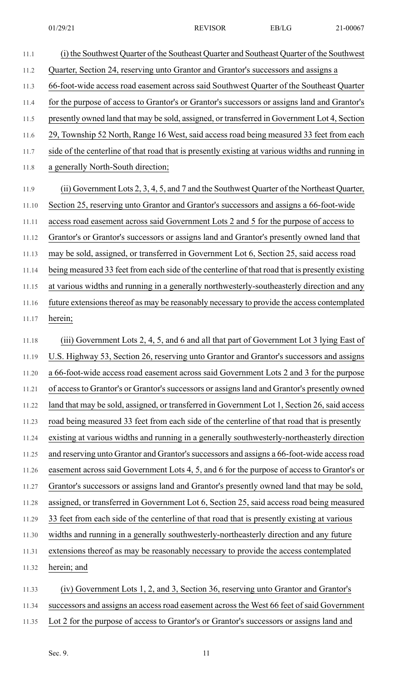11.1 (i) the Southwest Quarter of the Southeast Quarter and Southeast Quarter of the Southwest 11.2 Quarter, Section 24, reserving unto Grantor and Grantor's successors and assigns a 11.3 66-foot-wide access road easement across said Southwest Quarter of the Southeast Quarter 11.4 for the purpose of access to Grantor's or Grantor's successors or assigns land and Grantor's 11.5 presently owned land that may be sold, assigned, or transferred in Government Lot 4, Section 11.6 29, Township 52 North, Range 16 West, said access road being measured 33 feet from each 11.7 side of the centerline of that road that is presently existing at various widths and running in 11.8 a generally North-South direction; 11.9 (ii) Government Lots 2, 3, 4, 5, and 7 and the Southwest Quarter of the Northeast Quarter, 11.10 Section 25, reserving unto Grantor and Grantor's successors and assigns a 66-foot-wide 11.11 access road easement across said Government Lots 2 and 5 for the purpose of access to 11.12 Grantor's or Grantor's successors or assigns land and Grantor's presently owned land that 11.13 may be sold, assigned, or transferred in Government Lot 6, Section 25, said access road 11.14 being measured 33 feet from each side of the centerline of that road that is presently existing 11.15 at various widths and running in a generally northwesterly-southeasterly direction and any 11.16 future extensions thereof as may be reasonably necessary to provide the access contemplated 11.17 herein; 11.18 (iii) Government Lots 2, 4, 5, and 6 and all that part of Government Lot 3 lying East of 11.19 U.S. Highway 53, Section 26, reserving unto Grantor and Grantor's successors and assigns 11.20 a 66-foot-wide access road easement across said Government Lots 2 and 3 for the purpose 11.21 of access to Grantor's or Grantor's successors or assigns land and Grantor's presently owned 11.22 land that may be sold, assigned, or transferred in Government Lot 1, Section 26, said access 11.23 road being measured 33 feet from each side of the centerline of that road that is presently 11.24 existing at various widths and running in a generally southwesterly-northeasterly direction 11.25 and reserving unto Grantor and Grantor's successors and assigns a 66-foot-wide access road 11.26 easement across said Government Lots 4, 5, and 6 for the purpose of access to Grantor's or 11.27 Grantor's successors or assigns land and Grantor's presently owned land that may be sold, 11.28 assigned, or transferred in Government Lot 6, Section 25, said access road being measured 11.29 33 feet from each side of the centerline of that road that is presently existing at various 11.30 widths and running in a generally southwesterly-northeasterly direction and any future 11.31 extensions thereof as may be reasonably necessary to provide the access contemplated 11.32 herein; and 11.33 (iv) Government Lots 1, 2, and 3, Section 36, reserving unto Grantor and Grantor's 11.34 successors and assigns an access road easement across the West 66 feet of said Government 11.35 Lot 2 for the purpose of access to Grantor's or Grantor's successors or assigns land and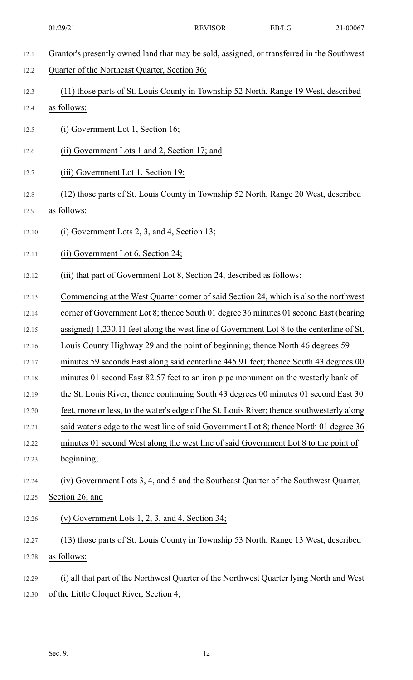| 12.1  | Grantor's presently owned land that may be sold, assigned, or transferred in the Southwest |
|-------|--------------------------------------------------------------------------------------------|
| 12.2  | Quarter of the Northeast Quarter, Section 36;                                              |
| 12.3  | (11) those parts of St. Louis County in Township 52 North, Range 19 West, described        |
| 12.4  | as follows:                                                                                |
| 12.5  | (i) Government Lot 1, Section 16;                                                          |
| 12.6  | (ii) Government Lots 1 and 2, Section 17; and                                              |
| 12.7  | (iii) Government Lot 1, Section 19;                                                        |
| 12.8  | (12) those parts of St. Louis County in Township 52 North, Range 20 West, described        |
| 12.9  | as follows:                                                                                |
| 12.10 | $(i)$ Government Lots 2, 3, and 4, Section 13;                                             |
| 12.11 | (ii) Government Lot 6, Section 24;                                                         |
| 12.12 | (iii) that part of Government Lot 8, Section 24, described as follows:                     |
| 12.13 | Commencing at the West Quarter corner of said Section 24, which is also the northwest      |
| 12.14 | corner of Government Lot 8; thence South 01 degree 36 minutes 01 second East (bearing      |
| 12.15 | assigned) 1,230.11 feet along the west line of Government Lot 8 to the centerline of St.   |
| 12.16 | Louis County Highway 29 and the point of beginning; thence North 46 degrees 59             |
| 12.17 | minutes 59 seconds East along said centerline 445.91 feet; thence South 43 degrees 00      |
| 12.18 | minutes 01 second East 82.57 feet to an iron pipe monument on the westerly bank of         |
| 12.19 | the St. Louis River; thence continuing South 43 degrees 00 minutes 01 second East 30       |
| 12.20 | feet, more or less, to the water's edge of the St. Louis River; thence southwesterly along |
| 12.21 | said water's edge to the west line of said Government Lot 8; thence North 01 degree 36     |
| 12.22 | minutes 01 second West along the west line of said Government Lot 8 to the point of        |
| 12.23 | beginning;                                                                                 |
| 12.24 | (iv) Government Lots 3, 4, and 5 and the Southeast Quarter of the Southwest Quarter,       |
| 12.25 | Section 26; and                                                                            |
| 12.26 | (v) Government Lots $1, 2, 3$ , and $4$ , Section 34;                                      |
| 12.27 | (13) those parts of St. Louis County in Township 53 North, Range 13 West, described        |
| 12.28 | as follows:                                                                                |
| 12.29 | (i) all that part of the Northwest Quarter of the Northwest Quarter lying North and West   |
| 12.30 | of the Little Cloquet River, Section 4;                                                    |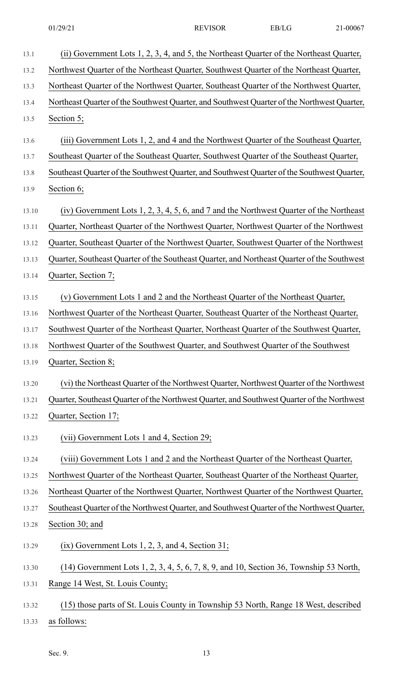| 13.1  | (ii) Government Lots 1, 2, 3, 4, and 5, the Northeast Quarter of the Northeast Quarter,     |
|-------|---------------------------------------------------------------------------------------------|
| 13.2  | Northwest Quarter of the Northeast Quarter, Southwest Quarter of the Northeast Quarter,     |
| 13.3  | Northeast Quarter of the Northwest Quarter, Southeast Quarter of the Northwest Quarter,     |
| 13.4  | Northeast Quarter of the Southwest Quarter, and Southwest Quarter of the Northwest Quarter, |
| 13.5  | Section 5;                                                                                  |
| 13.6  | (iii) Government Lots 1, 2, and 4 and the Northwest Quarter of the Southeast Quarter,       |
| 13.7  | Southeast Quarter of the Southeast Quarter, Southwest Quarter of the Southeast Quarter,     |
| 13.8  | Southeast Quarter of the Southwest Quarter, and Southwest Quarter of the Southwest Quarter, |
| 13.9  | Section 6;                                                                                  |
| 13.10 | (iv) Government Lots 1, 2, 3, 4, 5, 6, and 7 and the Northwest Quarter of the Northeast     |
| 13.11 | Quarter, Northeast Quarter of the Northwest Quarter, Northwest Quarter of the Northwest     |
| 13.12 | Quarter, Southeast Quarter of the Northwest Quarter, Southwest Quarter of the Northwest     |
| 13.13 | Quarter, Southeast Quarter of the Southeast Quarter, and Northeast Quarter of the Southwest |
| 13.14 | Quarter, Section 7;                                                                         |
| 13.15 | (v) Government Lots 1 and 2 and the Northeast Quarter of the Northeast Quarter,             |
| 13.16 | Northwest Quarter of the Northeast Quarter, Southeast Quarter of the Northeast Quarter,     |
| 13.17 | Southwest Quarter of the Northeast Quarter, Northeast Quarter of the Southwest Quarter,     |
| 13.18 | Northwest Quarter of the Southwest Quarter, and Southwest Quarter of the Southwest          |
| 13.19 | Quarter, Section 8;                                                                         |
| 13.20 | (vi) the Northeast Quarter of the Northwest Quarter, Northwest Quarter of the Northwest     |
| 13.21 | Quarter, Southeast Quarter of the Northwest Quarter, and Southwest Quarter of the Northwest |
| 13.22 | Quarter, Section 17;                                                                        |
| 13.23 | (vii) Government Lots 1 and 4, Section 29;                                                  |
| 13.24 | (viii) Government Lots 1 and 2 and the Northeast Quarter of the Northeast Quarter,          |
| 13.25 | Northwest Quarter of the Northeast Quarter, Southeast Quarter of the Northeast Quarter,     |
| 13.26 | Northeast Quarter of the Northwest Quarter, Northwest Quarter of the Northwest Quarter,     |
| 13.27 | Southeast Quarter of the Northwest Quarter, and Southwest Quarter of the Northwest Quarter, |
| 13.28 | Section 30; and                                                                             |
| 13.29 | $(ix)$ Government Lots 1, 2, 3, and 4, Section 31;                                          |
| 13.30 | (14) Government Lots 1, 2, 3, 4, 5, 6, 7, 8, 9, and 10, Section 36, Township 53 North,      |

- 13.31 Range 14 West, St. Louis County;
- 13.32 (15) those parts of St. Louis County in Township 53 North, Range 18 West, described

13.33 as follows: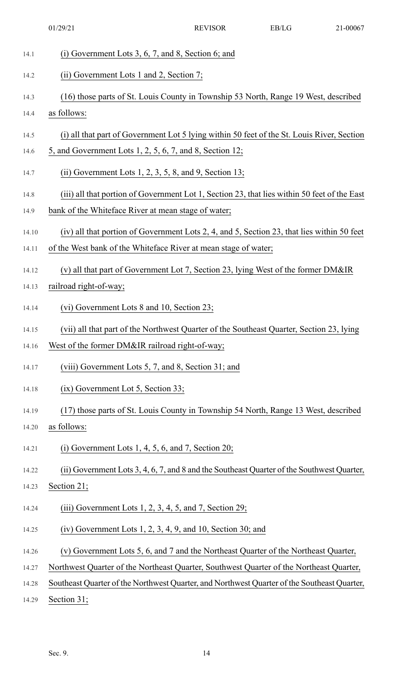| 14.1  | $(i)$ Government Lots 3, 6, 7, and 8, Section 6; and                                         |
|-------|----------------------------------------------------------------------------------------------|
| 14.2  | (ii) Government Lots 1 and 2, Section 7;                                                     |
| 14.3  | (16) those parts of St. Louis County in Township 53 North, Range 19 West, described          |
| 14.4  | as follows:                                                                                  |
| 14.5  | (i) all that part of Government Lot 5 lying within 50 feet of the St. Louis River, Section   |
| 14.6  | 5, and Government Lots $1, 2, 5, 6, 7$ , and 8, Section 12;                                  |
| 14.7  | (ii) Government Lots $1, 2, 3, 5, 8$ , and $9$ , Section $13$ ;                              |
| 14.8  | (iii) all that portion of Government Lot 1, Section 23, that lies within 50 feet of the East |
| 14.9  | bank of the Whiteface River at mean stage of water;                                          |
| 14.10 | (iv) all that portion of Government Lots 2, 4, and 5, Section 23, that lies within 50 feet   |
| 14.11 | of the West bank of the Whiteface River at mean stage of water;                              |
| 14.12 | (v) all that part of Government Lot 7, Section 23, lying West of the former DM&IR            |
| 14.13 | railroad right-of-way;                                                                       |
| 14.14 | (vi) Government Lots 8 and 10, Section 23;                                                   |
| 14.15 | (vii) all that part of the Northwest Quarter of the Southeast Quarter, Section 23, lying     |
| 14.16 | West of the former DM&IR railroad right-of-way;                                              |
| 14.17 | (viii) Government Lots 5, 7, and 8, Section 31; and                                          |
| 14.18 | $(ix)$ Government Lot 5, Section 33;                                                         |
| 14.19 | (17) those parts of St. Louis County in Township 54 North, Range 13 West, described          |
| 14.20 | as follows:                                                                                  |
| 14.21 | $(i)$ Government Lots 1, 4, 5, 6, and 7, Section 20;                                         |
| 14.22 | (ii) Government Lots 3, 4, 6, 7, and 8 and the Southeast Quarter of the Southwest Quarter,   |
| 14.23 | Section 21;                                                                                  |
| 14.24 | $(iii)$ Government Lots 1, 2, 3, 4, 5, and 7, Section 29;                                    |
| 14.25 | $(iv)$ Government Lots 1, 2, 3, 4, 9, and 10, Section 30; and                                |
| 14.26 | (v) Government Lots 5, 6, and 7 and the Northeast Quarter of the Northeast Quarter,          |
| 14.27 | Northwest Quarter of the Northeast Quarter, Southwest Quarter of the Northeast Quarter,      |
| 14.28 | Southeast Quarter of the Northwest Quarter, and Northwest Quarter of the Southeast Quarter,  |
| 14.29 | Section 31;                                                                                  |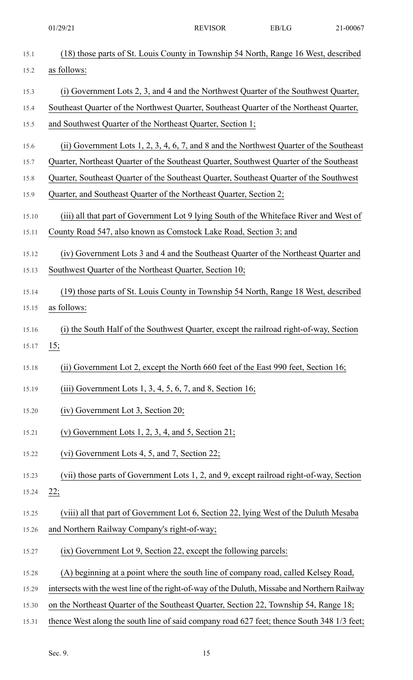|       | 01/29/21                                                                                      | <b>REVISOR</b> | EB/LG | 21-00067 |
|-------|-----------------------------------------------------------------------------------------------|----------------|-------|----------|
| 15.1  | (18) those parts of St. Louis County in Township 54 North, Range 16 West, described           |                |       |          |
| 15.2  | as follows:                                                                                   |                |       |          |
| 15.3  | (i) Government Lots 2, 3, and 4 and the Northwest Quarter of the Southwest Quarter,           |                |       |          |
| 15.4  | Southeast Quarter of the Northwest Quarter, Southeast Quarter of the Northeast Quarter,       |                |       |          |
| 15.5  | and Southwest Quarter of the Northeast Quarter, Section 1;                                    |                |       |          |
| 15.6  | (ii) Government Lots 1, 2, 3, 4, 6, 7, and 8 and the Northwest Quarter of the Southeast       |                |       |          |
| 15.7  | Quarter, Northeast Quarter of the Southeast Quarter, Southwest Quarter of the Southeast       |                |       |          |
| 15.8  | Quarter, Southeast Quarter of the Southeast Quarter, Southeast Quarter of the Southwest       |                |       |          |
| 15.9  | Quarter, and Southeast Quarter of the Northeast Quarter, Section 2;                           |                |       |          |
| 15.10 | (iii) all that part of Government Lot 9 lying South of the Whiteface River and West of        |                |       |          |
| 15.11 | County Road 547, also known as Comstock Lake Road, Section 3; and                             |                |       |          |
| 15.12 | (iv) Government Lots 3 and 4 and the Southeast Quarter of the Northeast Quarter and           |                |       |          |
| 15.13 | Southwest Quarter of the Northeast Quarter, Section 10;                                       |                |       |          |
| 15.14 | (19) those parts of St. Louis County in Township 54 North, Range 18 West, described           |                |       |          |
| 15.15 | as follows:                                                                                   |                |       |          |
| 15.16 | (i) the South Half of the Southwest Quarter, except the railroad right-of-way, Section        |                |       |          |
| 15.17 | 15:                                                                                           |                |       |          |
| 15.18 | (ii) Government Lot 2, except the North 660 feet of the East 990 feet, Section 16;            |                |       |          |
| 15.19 | (iii) Government Lots 1, 3, 4, 5, 6, 7, and 8, Section 16;                                    |                |       |          |
| 15.20 | (iv) Government Lot 3, Section 20;                                                            |                |       |          |
| 15.21 | (v) Government Lots 1, 2, 3, 4, and 5, Section 21;                                            |                |       |          |
| 15.22 | (vi) Government Lots 4, 5, and 7, Section 22;                                                 |                |       |          |
| 15.23 | (vii) those parts of Government Lots 1, 2, and 9, except railroad right-of-way, Section       |                |       |          |
| 15.24 | 22;                                                                                           |                |       |          |
| 15.25 | (viii) all that part of Government Lot 6, Section 22, lying West of the Duluth Mesaba         |                |       |          |
| 15.26 | and Northern Railway Company's right-of-way;                                                  |                |       |          |
| 15.27 | (ix) Government Lot 9, Section 22, except the following parcels:                              |                |       |          |
| 15.28 | (A) beginning at a point where the south line of company road, called Kelsey Road,            |                |       |          |
| 15.29 | intersects with the west line of the right-of-way of the Duluth, Missabe and Northern Railway |                |       |          |
| 15.30 | on the Northeast Quarter of the Southeast Quarter, Section 22, Township 54, Range 18;         |                |       |          |
| 15.31 | thence West along the south line of said company road 627 feet; thence South 348 1/3 feet;    |                |       |          |

Sec. 9. 15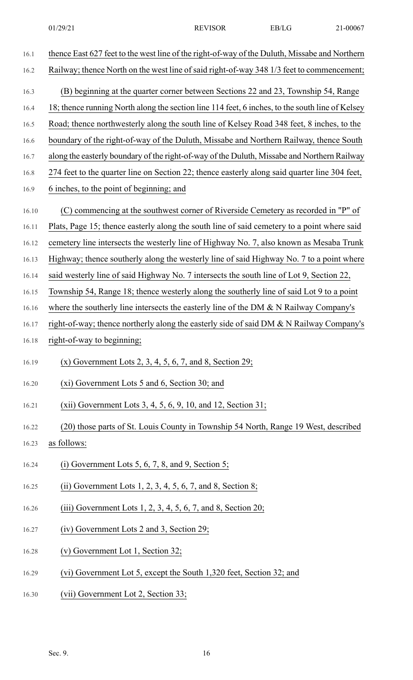| 16.1  | thence East 627 feet to the west line of the right-of-way of the Duluth, Missabe and Northern   |
|-------|-------------------------------------------------------------------------------------------------|
| 16.2  | Railway; thence North on the west line of said right-of-way 348 1/3 feet to commencement;       |
| 16.3  | (B) beginning at the quarter corner between Sections 22 and 23, Township 54, Range              |
| 16.4  | 18; thence running North along the section line 114 feet, 6 inches, to the south line of Kelsey |
| 16.5  | Road; thence northwesterly along the south line of Kelsey Road 348 feet, 8 inches, to the       |
| 16.6  | boundary of the right-of-way of the Duluth, Missabe and Northern Railway, thence South          |
| 16.7  | along the easterly boundary of the right-of-way of the Duluth, Missabe and Northern Railway     |
| 16.8  | 274 feet to the quarter line on Section 22; thence easterly along said quarter line 304 feet,   |
| 16.9  | 6 inches, to the point of beginning; and                                                        |
| 16.10 | (C) commencing at the southwest corner of Riverside Cemetery as recorded in "P" of              |
| 16.11 | Plats, Page 15; thence easterly along the south line of said cemetery to a point where said     |
| 16.12 | cemetery line intersects the westerly line of Highway No. 7, also known as Mesaba Trunk         |
| 16.13 | Highway; thence southerly along the westerly line of said Highway No. 7 to a point where        |
| 16.14 | said westerly line of said Highway No. 7 intersects the south line of Lot 9, Section 22,        |
| 16.15 | Township 54, Range 18; thence westerly along the southerly line of said Lot 9 to a point        |
| 16.16 | where the southerly line intersects the easterly line of the DM $\&$ N Railway Company's        |
| 16.17 | right-of-way; thence northerly along the easterly side of said DM & N Railway Company's         |
| 16.18 | right-of-way to beginning;                                                                      |
| 16.19 | $(x)$ Government Lots 2, 3, 4, 5, 6, 7, and 8, Section 29;                                      |
| 16.20 | (xi) Government Lots 5 and 6, Section 30; and                                                   |
| 16.21 | $(xii)$ Government Lots 3, 4, 5, 6, 9, 10, and 12, Section 31;                                  |
| 16.22 | (20) those parts of St. Louis County in Township 54 North, Range 19 West, described             |
| 16.23 | as follows:                                                                                     |
| 16.24 | (i) Government Lots 5, 6, 7, 8, and 9, Section 5;                                               |
| 16.25 | (ii) Government Lots $1, 2, 3, 4, 5, 6, 7$ , and 8, Section 8;                                  |
| 16.26 | (iii) Government Lots $1, 2, 3, 4, 5, 6, 7$ , and 8, Section 20;                                |
| 16.27 | (iv) Government Lots 2 and 3, Section 29;                                                       |
| 16.28 | (v) Government Lot 1, Section 32;                                                               |
| 16.29 | (vi) Government Lot 5, except the South 1,320 feet, Section 32; and                             |
| 16.30 | (vii) Government Lot 2, Section 33;                                                             |
|       |                                                                                                 |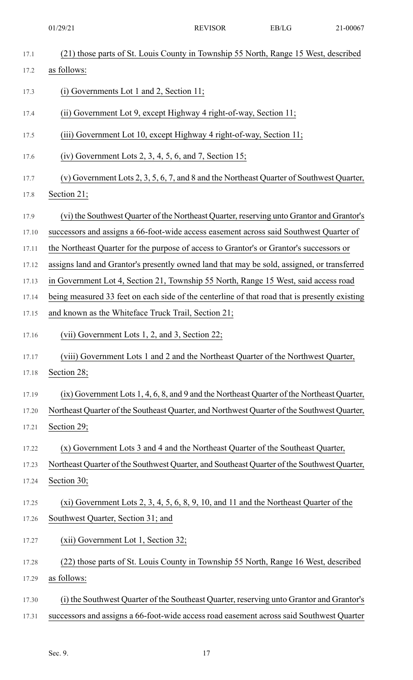|       | 01/29/21                                                                                      | <b>REVISOR</b> | EB/LG | 21-00067 |
|-------|-----------------------------------------------------------------------------------------------|----------------|-------|----------|
| 17.1  | (21) those parts of St. Louis County in Township 55 North, Range 15 West, described           |                |       |          |
| 17.2  | as follows:                                                                                   |                |       |          |
| 17.3  | $(i)$ Governments Lot 1 and 2, Section 11;                                                    |                |       |          |
| 17.4  | (ii) Government Lot 9, except Highway 4 right-of-way, Section 11;                             |                |       |          |
| 17.5  | (iii) Government Lot 10, except Highway 4 right-of-way, Section 11;                           |                |       |          |
| 17.6  | (iv) Government Lots 2, 3, 4, 5, 6, and 7, Section 15;                                        |                |       |          |
| 17.7  | (v) Government Lots 2, 3, 5, 6, 7, and 8 and the Northeast Quarter of Southwest Quarter,      |                |       |          |
| 17.8  | Section 21;                                                                                   |                |       |          |
| 17.9  | (vi) the Southwest Quarter of the Northeast Quarter, reserving unto Grantor and Grantor's     |                |       |          |
| 17.10 | successors and assigns a 66-foot-wide access easement across said Southwest Quarter of        |                |       |          |
| 17.11 | the Northeast Quarter for the purpose of access to Grantor's or Grantor's successors or       |                |       |          |
| 17.12 | assigns land and Grantor's presently owned land that may be sold, assigned, or transferred    |                |       |          |
| 17.13 | in Government Lot 4, Section 21, Township 55 North, Range 15 West, said access road           |                |       |          |
| 17.14 | being measured 33 feet on each side of the centerline of that road that is presently existing |                |       |          |
| 17.15 | and known as the Whiteface Truck Trail, Section 21;                                           |                |       |          |
| 17.16 | (vii) Government Lots 1, 2, and 3, Section 22;                                                |                |       |          |
| 17.17 | (viii) Government Lots 1 and 2 and the Northeast Quarter of the Northwest Quarter,            |                |       |          |
| 17.18 | Section 28;                                                                                   |                |       |          |
| 17.19 | (ix) Government Lots 1, 4, 6, 8, and 9 and the Northeast Quarter of the Northeast Quarter,    |                |       |          |
| 17.20 | Northeast Quarter of the Southeast Quarter, and Northwest Quarter of the Southwest Quarter,   |                |       |          |
| 17.21 | Section 29;                                                                                   |                |       |          |
| 17.22 | (x) Government Lots 3 and 4 and the Northeast Quarter of the Southeast Quarter,               |                |       |          |
| 17.23 | Northeast Quarter of the Southwest Quarter, and Southeast Quarter of the Southwest Quarter,   |                |       |          |
| 17.24 | Section 30;                                                                                   |                |       |          |
| 17.25 | $(xi)$ Government Lots 2, 3, 4, 5, 6, 8, 9, 10, and 11 and the Northeast Quarter of the       |                |       |          |
| 17.26 | Southwest Quarter, Section 31; and                                                            |                |       |          |
| 17.27 | (xii) Government Lot 1, Section 32;                                                           |                |       |          |
| 17.28 | (22) those parts of St. Louis County in Township 55 North, Range 16 West, described           |                |       |          |
| 17.29 | as follows:                                                                                   |                |       |          |
| 17.30 | (i) the Southwest Quarter of the Southeast Quarter, reserving unto Grantor and Grantor's      |                |       |          |
| 17.31 | successors and assigns a 66-foot-wide access road easement across said Southwest Quarter      |                |       |          |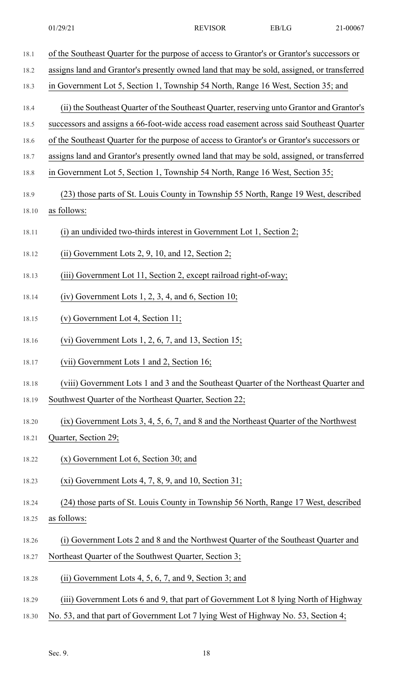18.1 of the Southeast Quarter for the purpose of access to Grantor's or Grantor's successors or 18.2 assigns land and Grantor's presently owned land that may be sold, assigned, or transferred 18.3 in Government Lot 5, Section 1, Township 54 North, Range 16 West, Section 35; and 18.4 (ii) the Southeast Quarter of the Southeast Quarter, reserving unto Grantor and Grantor's 18.5 successors and assigns a 66-foot-wide access road easement across said Southeast Quarter 18.6 of the Southeast Quarter for the purpose of access to Grantor's or Grantor's successors or 18.7 assigns land and Grantor's presently owned land that may be sold, assigned, or transferred 18.8 in Government Lot 5, Section 1, Township 54 North, Range 16 West, Section 35; 18.9 (23) those parts of St. Louis County in Township 55 North, Range 19 West, described 18.10 as follows: 18.11 (i) an undivided two-thirds interest in Government Lot 1, Section 2; 18.12 (ii) Government Lots 2, 9, 10, and 12, Section 2; 18.13 (iii) Government Lot 11, Section 2, except railroad right-of-way; 18.14 (iv) Government Lots 1, 2, 3, 4, and 6, Section 10; 18.15 (v) Government Lot 4, Section 11; 18.16 (vi) Government Lots 1, 2, 6, 7, and 13, Section 15; 18.17 (vii) Government Lots 1 and 2, Section 16; 18.18 (viii) Government Lots 1 and 3 and the Southeast Quarter of the Northeast Quarter and 18.19 Southwest Quarter of the Northeast Quarter, Section 22; 18.20 (ix) Government Lots 3, 4, 5, 6, 7, and 8 and the Northeast Quarter of the Northwest 18.21 Quarter, Section 29; 18.22 (x) Government Lot 6, Section 30; and 18.23 (xi) Government Lots 4, 7, 8, 9, and 10, Section 31; 18.24 (24) those parts of St. Louis County in Township 56 North, Range 17 West, described 18.25 as follows: 18.26 (i) Government Lots 2 and 8 and the Northwest Quarter of the Southeast Quarter and 18.27 Northeast Quarter of the Southwest Quarter, Section 3; 18.28 (ii) Government Lots 4, 5, 6, 7, and 9, Section 3; and 18.29 (iii) Government Lots 6 and 9, that part of Government Lot 8 lying North of Highway 18.30 No. 53, and that part of Government Lot 7 lying West of Highway No. 53, Section 4;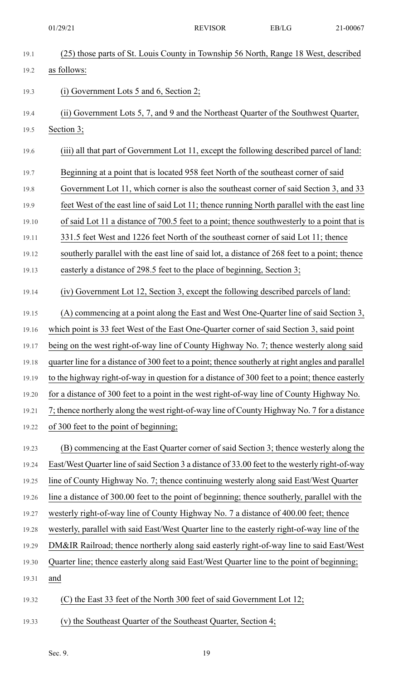19.1 (25) those parts of St. Louis County in Township 56 North, Range 18 West, described 19.2 as follows: 19.3 (i) Government Lots 5 and 6, Section 2; 19.4 (ii) Government Lots 5, 7, and 9 and the Northeast Quarter of the Southwest Quarter, 19.5 Section 3; 19.6 (iii) all that part of Government Lot 11, except the following described parcel of land: 19.7 Beginning at a point that is located 958 feet North of the southeast corner of said 19.8 Government Lot 11, which corner is also the southeast corner of said Section 3, and 33 19.9 feet West of the east line of said Lot 11; thence running North parallel with the east line 19.10 of said Lot 11 a distance of 700.5 feet to a point; thence southwesterly to a point that is 19.11 331.5 feet West and 1226 feet North of the southeast corner of said Lot 11; thence 19.12 southerly parallel with the east line of said lot, a distance of 268 feet to a point; thence 19.13 easterly a distance of 298.5 feet to the place of beginning, Section 3; 19.14 (iv) Government Lot 12, Section 3, except the following described parcels of land: 19.15 (A) commencing at a point along the East and West One-Quarter line of said Section 3, 19.16 which point is 33 feet West of the East One-Quarter corner of said Section 3, said point 19.17 being on the west right-of-way line of County Highway No. 7; thence westerly along said 19.18 quarter line for a distance of 300 feet to a point; thence southerly at right angles and parallel 19.19 to the highway right-of-way in question for a distance of 300 feet to a point; thence easterly 19.20 for a distance of 300 feet to a point in the west right-of-way line of County Highway No. 19.21 7; thence northerly along the west right-of-way line of County Highway No. 7 for a distance 19.22 of 300 feet to the point of beginning; 19.23 (B) commencing at the East Quarter corner of said Section 3; thence westerly along the 19.24 East/West Quarter line ofsaid Section 3 a distance of 33.00 feet to the westerly right-of-way 19.25 line of County Highway No. 7; thence continuing westerly along said East/West Quarter 19.26 line a distance of 300.00 feet to the point of beginning; thence southerly, parallel with the 19.27 westerly right-of-way line of County Highway No. 7 a distance of 400.00 feet; thence 19.28 westerly, parallel with said East/West Quarter line to the easterly right-of-way line of the 19.29 DM&IR Railroad; thence northerly along said easterly right-of-way line to said East/West 19.30 Quarter line; thence easterly along said East/West Quarter line to the point of beginning; 19.31 and 19.32 (C) the East 33 feet of the North 300 feet of said Government Lot 12; 19.33 (v) the Southeast Quarter of the Southeast Quarter, Section 4; 01/29/21 REVISOR EB/LG 21-00067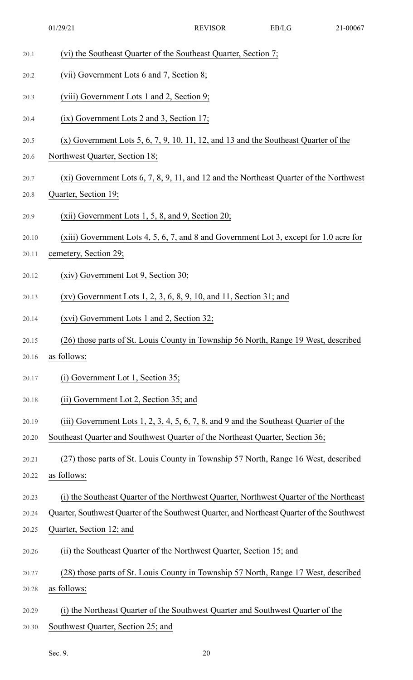| 20.1  | (vi) the Southeast Quarter of the Southeast Quarter, Section 7;                             |
|-------|---------------------------------------------------------------------------------------------|
| 20.2  | (vii) Government Lots 6 and 7, Section 8;                                                   |
| 20.3  | (viii) Government Lots 1 and 2, Section 9;                                                  |
| 20.4  | $(ix)$ Government Lots 2 and 3, Section 17;                                                 |
| 20.5  | $(x)$ Government Lots 5, 6, 7, 9, 10, 11, 12, and 13 and the Southeast Quarter of the       |
| 20.6  | Northwest Quarter, Section 18;                                                              |
| 20.7  | $(xi)$ Government Lots 6, 7, 8, 9, 11, and 12 and the Northeast Quarter of the Northwest    |
| 20.8  | Quarter, Section 19;                                                                        |
| 20.9  | $(xii)$ Government Lots 1, 5, 8, and 9, Section 20;                                         |
| 20.10 | (xiii) Government Lots 4, 5, 6, 7, and 8 and Government Lot 3, except for 1.0 acre for      |
| 20.11 | cemetery, Section 29;                                                                       |
| 20.12 | (xiv) Government Lot 9, Section 30;                                                         |
| 20.13 | $(xv)$ Government Lots 1, 2, 3, 6, 8, 9, 10, and 11, Section 31; and                        |
| 20.14 | $(xvi)$ Government Lots 1 and 2, Section 32;                                                |
| 20.15 | (26) those parts of St. Louis County in Township 56 North, Range 19 West, described         |
| 20.16 | as follows:                                                                                 |
| 20.17 | $(i)$ Government Lot 1, Section 35;                                                         |
| 20.18 | (ii) Government Lot 2, Section 35; and                                                      |
| 20.19 | (iii) Government Lots $1, 2, 3, 4, 5, 6, 7, 8$ , and $9$ and the Southeast Quarter of the   |
| 20.20 | Southeast Quarter and Southwest Quarter of the Northeast Quarter, Section 36;               |
| 20.21 | (27) those parts of St. Louis County in Township 57 North, Range 16 West, described         |
| 20.22 | as follows:                                                                                 |
| 20.23 | (i) the Southeast Quarter of the Northwest Quarter, Northwest Quarter of the Northeast      |
| 20.24 | Quarter, Southwest Quarter of the Southwest Quarter, and Northeast Quarter of the Southwest |
| 20.25 | Quarter, Section 12; and                                                                    |
| 20.26 | (ii) the Southeast Quarter of the Northwest Quarter, Section 15; and                        |
| 20.27 | (28) those parts of St. Louis County in Township 57 North, Range 17 West, described         |
| 20.28 | as follows:                                                                                 |
| 20.29 | (i) the Northeast Quarter of the Southwest Quarter and Southwest Quarter of the             |
| 20.30 | Southwest Quarter, Section 25; and                                                          |